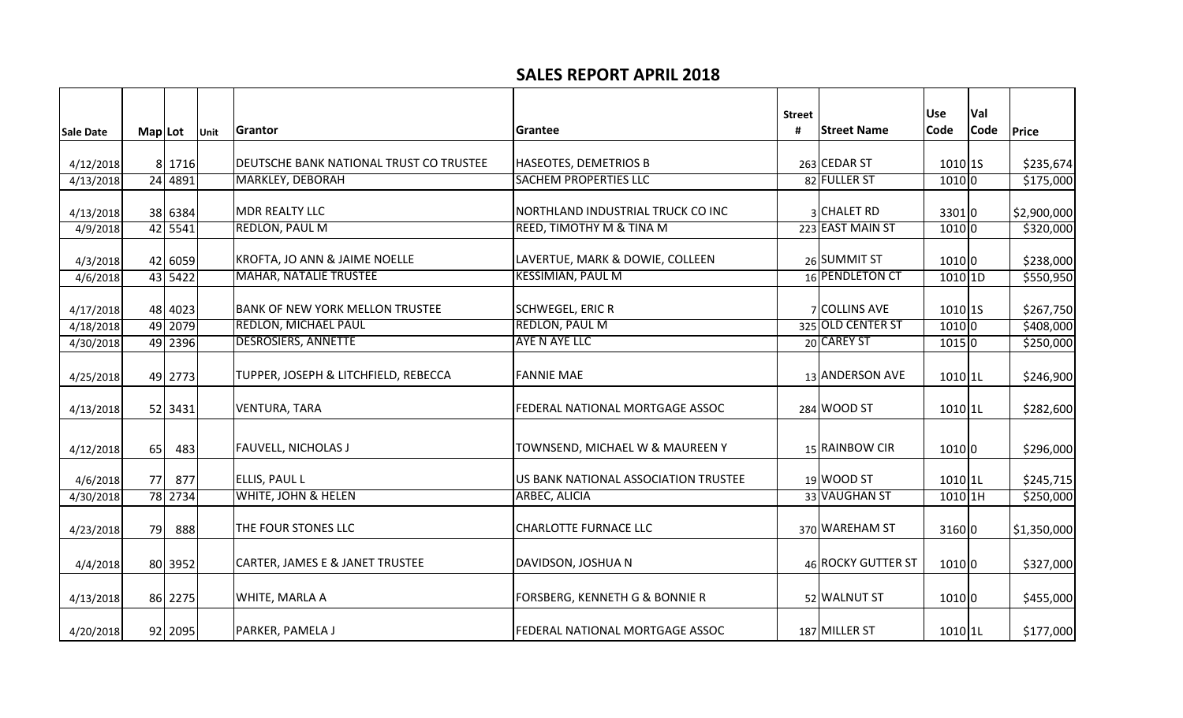## **SALES REPORT APRIL 2018**

|                  |         |         |      |                                                |                                        | <b>Street</b> |                    | <b>Use</b>           | Val         |             |
|------------------|---------|---------|------|------------------------------------------------|----------------------------------------|---------------|--------------------|----------------------|-------------|-------------|
| <b>Sale Date</b> | Map Lot |         | Unit | Grantor                                        | Grantee                                | #             | <b>Street Name</b> | Code                 | <b>Code</b> | Price       |
| 4/12/2018        |         | 8 1716  |      | <b>DEUTSCHE BANK NATIONAL TRUST CO TRUSTEE</b> | <b>HASEOTES, DEMETRIOS B</b>           |               | 263 CEDAR ST       | $1010$ 15            |             | \$235,674   |
| 4/13/2018        |         | 24 4891 |      | <b>MARKLEY, DEBORAH</b>                        | <b>SACHEM PROPERTIES LLC</b>           |               | 82 FULLER ST       | 10100                |             | \$175,000   |
| 4/13/2018        |         | 38 6384 |      | <b>MDR REALTY LLC</b>                          | NORTHLAND INDUSTRIAL TRUCK CO INC      |               | 3 CHALET RD        | 33010                |             | \$2,900,000 |
| 4/9/2018         |         | 42 5541 |      | <b>REDLON, PAUL M</b>                          | REED, TIMOTHY M & TINA M               |               | 223 EAST MAIN ST   | 10100                |             | \$320,000   |
| 4/3/2018         |         | 42 6059 |      | KROFTA, JO ANN & JAIME NOELLE                  | LAVERTUE, MARK & DOWIE, COLLEEN        |               | 26 SUMMIT ST       | 1010 0               |             | \$238,000   |
| 4/6/2018         |         | 43 5422 |      | <b>MAHAR, NATALIE TRUSTEE</b>                  | <b>KESSIMIAN, PAUL M</b>               |               | 16 PENDLETON CT    | $1010$ 1D            |             | \$550,950   |
| 4/17/2018        |         | 48 4023 |      | <b>BANK OF NEW YORK MELLON TRUSTEE</b>         | <b>SCHWEGEL, ERIC R</b>                |               | 7 COLLINS AVE      | 1010 1S              |             | \$267,750   |
| 4/18/2018        |         | 49 2079 |      | <b>REDLON, MICHAEL PAUL</b>                    | <b>REDLON, PAUL M</b>                  |               | 325 OLD CENTER ST  | 1010 0               |             | \$408,000   |
| 4/30/2018        |         | 49 2396 |      | <b>DESROSIERS, ANNETTE</b>                     | AYE N AYE LLC                          |               | 20 CAREY ST        | 10150                |             | \$250,000   |
| 4/25/2018        |         | 49 2773 |      | TUPPER, JOSEPH & LITCHFIELD, REBECCA           | <b>FANNIE MAE</b>                      |               | 13 ANDERSON AVE    | $1010$  1L           |             | \$246,900   |
| 4/13/2018        |         | 52 3431 |      | <b>VENTURA, TARA</b>                           | FEDERAL NATIONAL MORTGAGE ASSOC        |               | 284 WOOD ST        | 1010 1L              |             | \$282,600   |
| 4/12/2018        | 65      | 483     |      | <b>FAUVELL, NICHOLAS J</b>                     | TOWNSEND, MICHAEL W & MAUREEN Y        |               | 15 RAINBOW CIR     | 1010 0               |             | \$296,000   |
| 4/6/2018         | 77      | 877     |      | <b>ELLIS, PAUL L</b>                           | US BANK NATIONAL ASSOCIATION TRUSTEE   |               | 19 WOOD ST         | $1010$ <sup>11</sup> |             | \$245,715   |
| 4/30/2018        |         | 78 2734 |      | WHITE, JOHN & HELEN                            | <b>ARBEC, ALICIA</b>                   |               | 33 VAUGHAN ST      | 1010 1H              |             | \$250,000   |
| 4/23/2018        | 79      | 888     |      | THE FOUR STONES LLC                            | <b>CHARLOTTE FURNACE LLC</b>           |               | 370 WAREHAM ST     | 31600                |             | \$1,350,000 |
| 4/4/2018         |         | 80 3952 |      | CARTER, JAMES E & JANET TRUSTEE                | DAVIDSON, JOSHUA N                     |               | 46 ROCKY GUTTER ST | 1010 0               |             | \$327,000   |
| 4/13/2018        |         | 86 2275 |      | WHITE, MARLA A                                 | FORSBERG, KENNETH G & BONNIE R         |               | 52 WALNUT ST       | 10100                |             | \$455,000   |
| 4/20/2018        |         | 92 2095 |      | <b>PARKER, PAMELA J</b>                        | <b>FEDERAL NATIONAL MORTGAGE ASSOC</b> |               | 187 MILLER ST      | 1010 1L              |             | \$177,000   |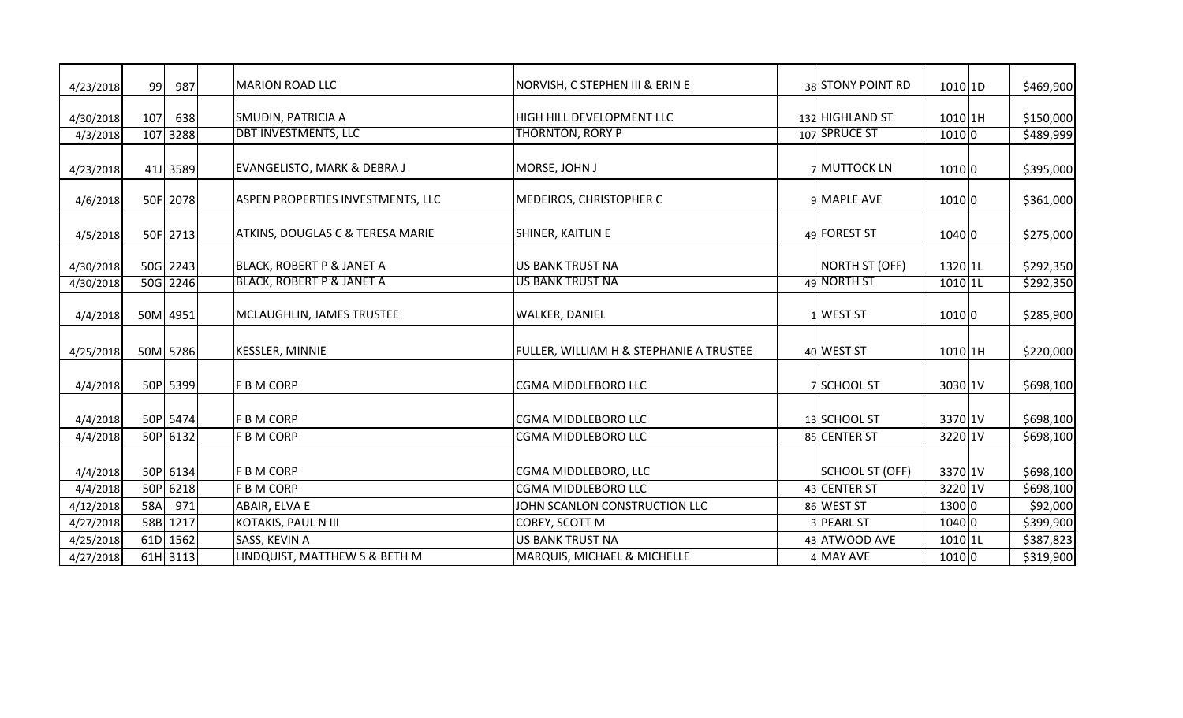| 4/23/2018 | 99  | 987      | <b>MARION ROAD LLC</b>                      | NORVISH, C STEPHEN III & ERIN E         | 38 STONY POINT RD      | 1010 1D   | \$469,900 |
|-----------|-----|----------|---------------------------------------------|-----------------------------------------|------------------------|-----------|-----------|
| 4/30/2018 | 107 | 638      | <b>SMUDIN, PATRICIA A</b>                   | <b>HIGH HILL DEVELOPMENT LLC</b>        | 132 HIGHLAND ST        | $1010$ 1H | \$150,000 |
| 4/3/2018  |     | 107 3288 | <b>DBT INVESTMENTS, LLC</b>                 | <b>THORNTON, RORY P</b>                 | 107 SPRUCE ST          | 1010 0    | \$489,999 |
| 4/23/2018 |     | 41J 3589 | <b>EVANGELISTO, MARK &amp; DEBRA J</b>      | MORSE, JOHN J                           | 7 MUTTOCK LN           | 10100     | \$395,000 |
| 4/6/2018  |     | 50F 2078 | <b>ASPEN PROPERTIES INVESTMENTS, LLC</b>    | MEDEIROS, CHRISTOPHER C                 | 9 MAPLE AVE            | 1010 0    | \$361,000 |
| 4/5/2018  |     | 50F 2713 | <b>ATKINS, DOUGLAS C &amp; TERESA MARIE</b> | SHINER, KAITLIN E                       | 49 FOREST ST           | 1040 0    | \$275,000 |
| 4/30/2018 |     | 50G 2243 | <b>BLACK, ROBERT P &amp; JANET A</b>        | <b>US BANK TRUST NA</b>                 | NORTH ST (OFF)         | 1320 1L   | \$292,350 |
| 4/30/2018 |     | 50G 2246 | <b>BLACK, ROBERT P &amp; JANET A</b>        | <b>US BANK TRUST NA</b>                 | 49 NORTH ST            | 1010 1L   | \$292,350 |
| 4/4/2018  |     | 50M 4951 | MCLAUGHLIN, JAMES TRUSTEE                   | <b>WALKER, DANIEL</b>                   | $1$ WEST ST            | 10100     | \$285,900 |
| 4/25/2018 |     | 50M 5786 | <b>KESSLER, MINNIE</b>                      | FULLER, WILLIAM H & STEPHANIE A TRUSTEE | 40 WEST ST             | 1010 1H   | \$220,000 |
| 4/4/2018  |     | 50P 5399 | <b>F B M CORP</b>                           | <b>CGMA MIDDLEBORO LLC</b>              | 7 SCHOOL ST            | 3030 1V   | \$698,100 |
| 4/4/2018  |     | 50P 5474 | <b>F B M CORP</b>                           | <b>CGMA MIDDLEBORO LLC</b>              | 13 SCHOOL ST           | 3370 1V   | \$698,100 |
| 4/4/2018  |     | 50P 6132 | F B M CORP                                  | CGMA MIDDLEBORO LLC                     | 85 CENTER ST           | 3220 1V   | \$698,100 |
| 4/4/2018  |     | 50P 6134 | <b>FBMCORP</b>                              | CGMA MIDDLEBORO, LLC                    | <b>SCHOOL ST (OFF)</b> | 3370 1V   | \$698,100 |
| 4/4/2018  |     | 50P 6218 | F B M CORP                                  | <b>CGMA MIDDLEBORO LLC</b>              | 43 CENTER ST           | 3220 1V   | \$698,100 |
| 4/12/2018 | 58A | 971      | ABAIR, ELVA E                               | JOHN SCANLON CONSTRUCTION LLC           | 86 WEST ST             | 1300 0    | \$92,000  |
| 4/27/2018 |     | 58B 1217 | KOTAKIS, PAUL N III                         | COREY, SCOTT M                          | 3 PEARL ST             | 1040 0    | \$399,900 |
| 4/25/2018 |     | 61D 1562 | SASS, KEVIN A                               | <b>US BANK TRUST NA</b>                 | 43 ATWOOD AVE          | 1010 1L   | \$387,823 |
| 4/27/2018 |     | 61H 3113 | LINDQUIST, MATTHEW S & BETH M               | <b>MARQUIS, MICHAEL &amp; MICHELLE</b>  | 4 MAY AVE              | 1010 0    | \$319,900 |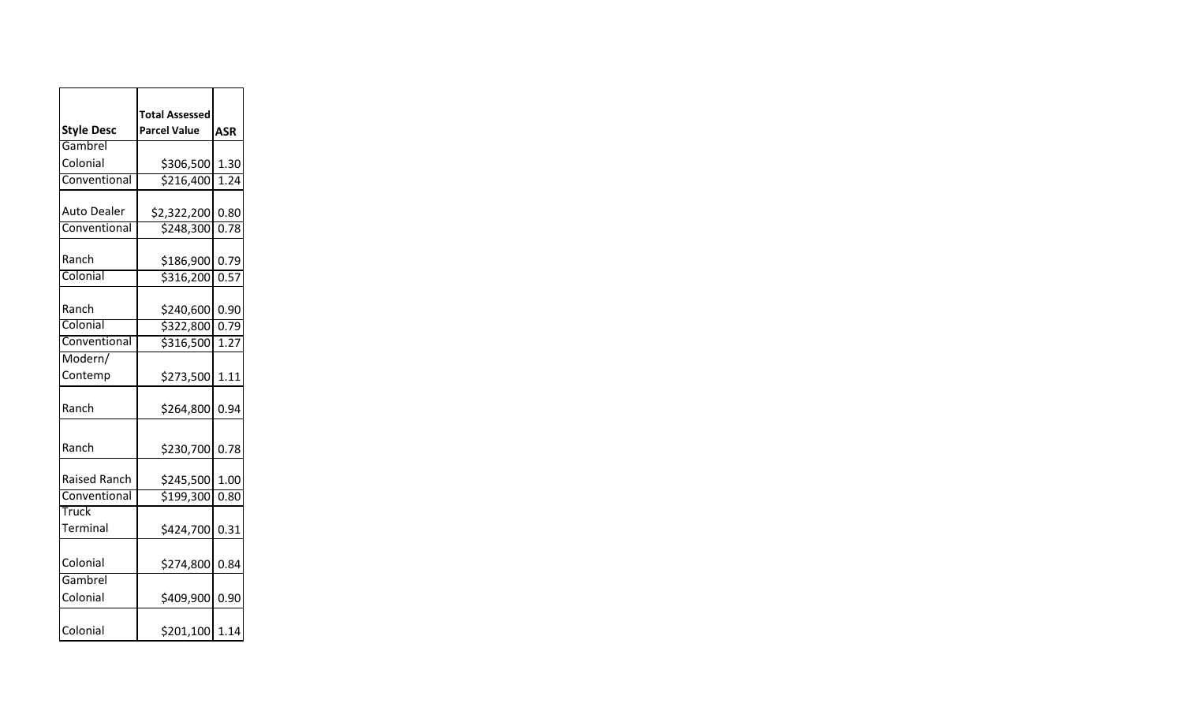|                     | <b>Total Assessed</b> |                    |
|---------------------|-----------------------|--------------------|
| <b>Style Desc</b>   | <b>Parcel Value</b>   | <b>ASR</b>         |
| Gambrel             |                       |                    |
| Colonial            | \$306,500             | 1.30               |
| Conventional        | \$216,400             | $\overline{1}$ .24 |
| <b>Auto Dealer</b>  | \$2,322,200           | 0.80               |
| Conventional        | \$248,300             | 0.78               |
| Ranch               | \$186,900             | 0.79               |
| Colonial            | \$316,200             | 0.57               |
| Ranch               | \$240,600             | 0.90               |
| Colonial            | \$322,800             | 0.79               |
| Conventional        | \$316,500             | 1.27               |
| Modern/             |                       |                    |
| Contemp             | \$273,500             | 1.11               |
| Ranch               | \$264,800             | 0.94               |
| Ranch               | \$230,700 0.78        |                    |
| <b>Raised Ranch</b> | \$245,500             | 1.00               |
| Conventional        | \$199,300             | 0.80               |
| Truck               |                       |                    |
| Terminal            | \$424,700 0.31        |                    |
| Colonial            | \$274,800             | 0.84               |
| Gambrel<br>Colonial | \$409,900             | 0.90               |
| Colonial            | \$201,100             | 1.14               |